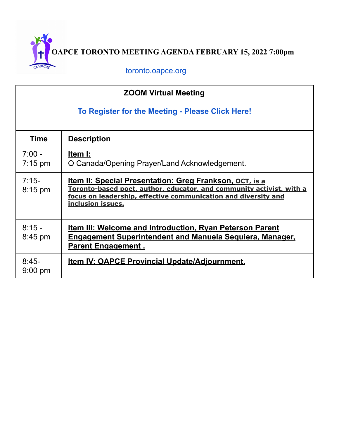**OAPCE TORONTO MEETING AGENDA FEBRUARY 15, 2022 7:00pm**

[toronto.oapce.org](https://toronto.oapce.org/)

| <b>ZOOM Virtual Meeting</b>                      |                                                                                                                                                                                                                               |
|--------------------------------------------------|-------------------------------------------------------------------------------------------------------------------------------------------------------------------------------------------------------------------------------|
| To Register for the Meeting - Please Click Here! |                                                                                                                                                                                                                               |
| <b>Time</b>                                      | <b>Description</b>                                                                                                                                                                                                            |
| $7:00 -$<br>$7:15 \text{ pm}$                    | Item I:<br>O Canada/Opening Prayer/Land Acknowledgement.                                                                                                                                                                      |
| $7:15-$<br>$8:15$ pm                             | <u>Item II: Special Presentation: Greg Frankson, ocт, is a</u><br>Toronto-based poet, author, educator, and community activist, with a<br>focus on leadership, effective communication and diversity and<br>inclusion issues. |
| $8:15 -$<br>$8:45$ pm                            | <u>Item III: Welcome and Introduction, Ryan Peterson Parent</u><br><b>Engagement Superintendent and Manuela Sequiera, Manager,</b><br><b>Parent Engagement.</b>                                                               |
| $8:45-$<br>$9:00$ pm                             | <u>Item IV: OAPCE Provincial Update/Adjournment.</u>                                                                                                                                                                          |